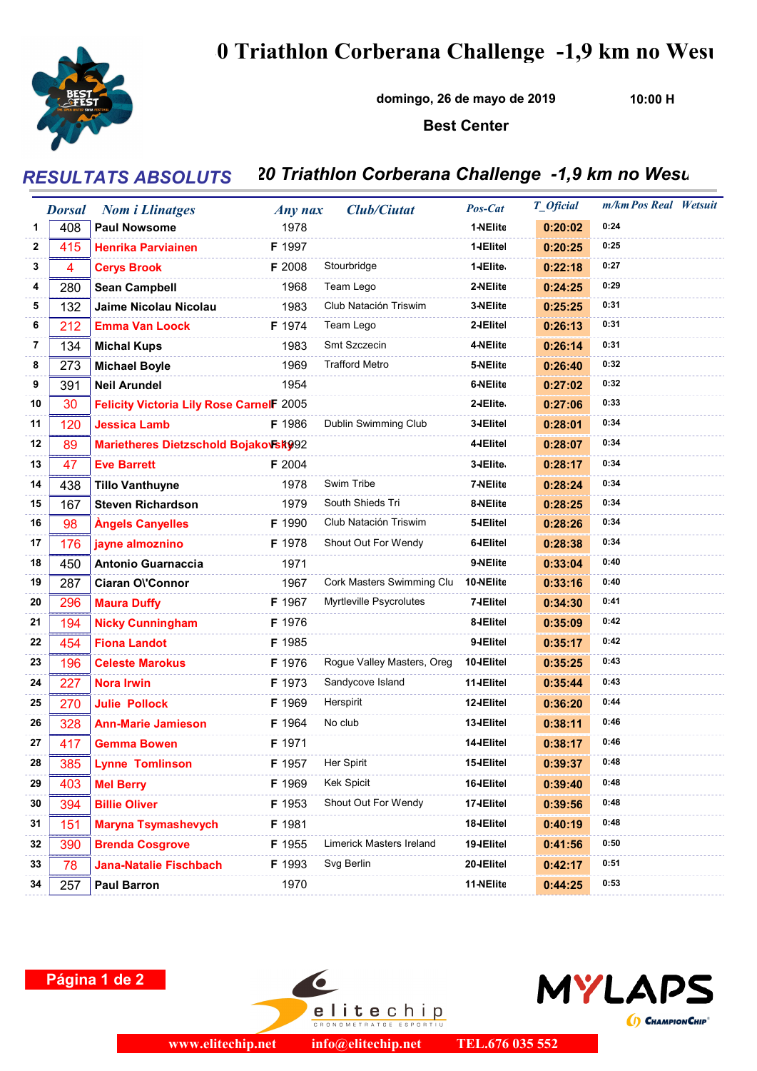

## 0 Triathlon Corberana Challenge -1,9 km no Wesu

domingo, 26 de mayo de 2019

10:00 H

## Best Center

## RESULTATS ABSOLUTS 20 Triathlon Corberana Challenge -1,9 km no Wesu

|    | <b>Dorsal</b> | <b>Nom i Llinatges</b>                          | Any nax | <b>Club/Ciutat</b>         | Pos-Cat    | T_Oficial | m/km Pos Real Wetsuit |  |
|----|---------------|-------------------------------------------------|---------|----------------------------|------------|-----------|-----------------------|--|
| 1  | 408           | <b>Paul Nowsome</b>                             | 1978    |                            | 1-NEIite   | 0:20:02   | 0:24                  |  |
| 2  | 415           | <b>Henrika Parviainen</b>                       | F 1997  |                            | 1-IElitel  | 0:20:25   | 0:25                  |  |
| 3  | 4             | <b>Cerys Brook</b>                              | F 2008  | Stourbridge                | 1-IElite   | 0:22:18   | 0:27                  |  |
| 4  | 280           | <b>Sean Campbell</b>                            | 1968    | Team Lego                  | 2-NEIite   | 0:24:25   | 0:29                  |  |
| 5  | 132           | Jaime Nicolau Nicolau                           | 1983    | Club Natación Triswim      | 3-NEIite   | 0:25:25   | 0:31                  |  |
| 6  | 212           | <b>Emma Van Loock</b>                           | F 1974  | Team Lego                  | 2-IElitel  | 0:26:13   | 0:31                  |  |
| 7  | 134           | <b>Michal Kups</b>                              | 1983    | Smt Szczecin               | 4-NElite   | 0:26:14   | 0:31                  |  |
| 8  | 273           | <b>Michael Boyle</b>                            | 1969    | <b>Trafford Metro</b>      | 5-NEIite   | 0:26:40   | 0:32                  |  |
| 9  | 391           | <b>Neil Arundel</b>                             | 1954    |                            | 6-NEIite   | 0:27:02   | 0:32                  |  |
| 10 | 30            | <b>Felicity Victoria Lily Rose CarnelF 2005</b> |         |                            | 2-IElite.  | 0:27:06   | 0:33                  |  |
| 11 | 120           | <b>Jessica Lamb</b>                             | F 1986  | Dublin Swimming Club       | 3-IElitel  | 0:28:01   | 0:34                  |  |
| 12 | 89            | Marietheres Dietzschold Bojakovsk992            |         |                            | 4-IElitel  | 0:28:07   | 0:34                  |  |
| 13 | 47            | <b>Eve Barrett</b>                              | F 2004  |                            | 3-IElite   | 0:28:17   | 0:34                  |  |
| 14 | 438           | <b>Tillo Vanthuyne</b>                          | 1978    | Swim Tribe                 | 7-NEIite   | 0:28:24   | 0:34                  |  |
| 15 | 167           | <b>Steven Richardson</b>                        | 1979    | South Shieds Tri           | 8-NEIite   | 0:28:25   | 0:34                  |  |
| 16 | 98            | <b>Angels Canyelles</b>                         | F 1990  | Club Natación Triswim      | 5-IElitel  | 0:28:26   | 0:34                  |  |
| 17 | 176           | jayne almoznino                                 | F 1978  | Shout Out For Wendy        | 6-IElitel  | 0:28:38   | 0:34                  |  |
| 18 | 450           | <b>Antonio Guarnaccia</b>                       | 1971    |                            | 9-NEIite   | 0:33:04   | 0:40                  |  |
| 19 | 287           | Ciaran O\'Connor                                | 1967    | Cork Masters Swimming Clu  | 10-NElite  | 0:33:16   | 0:40                  |  |
| 20 | 296           | <b>Maura Duffy</b>                              | F 1967  | Myrtleville Psycrolutes    | 7-IElitel  | 0:34:30   | 0:41                  |  |
| 21 | 194           | <b>Nicky Cunningham</b>                         | F 1976  |                            | 8-IElitel  | 0:35:09   | 0:42                  |  |
| 22 | 454           | <b>Fiona Landot</b>                             | F 1985  |                            | 9-IElitel  | 0:35:17   | 0:42                  |  |
| 23 | 196           | <b>Celeste Marokus</b>                          | F 1976  | Rogue Valley Masters, Oreg | 10-IElitel | 0:35:25   | 0:43                  |  |
| 24 | 227           | <b>Nora Irwin</b>                               | F 1973  | Sandycove Island           | 11-IElitel | 0:35:44   | 0:43                  |  |
| 25 | 270           | <b>Julie Pollock</b>                            | F 1969  | Herspirit                  | 12-IElitel | 0:36:20   | 0:44                  |  |
| 26 | 328           | <b>Ann-Marie Jamieson</b>                       | F 1964  | No club                    | 13-IElitel | 0:38:11   | 0:46                  |  |
| 27 | 417           | <b>Gemma Bowen</b>                              | F 1971  |                            | 14-IElitel | 0:38:17   | 0:46                  |  |
| 28 | 385           | <b>Lynne Tomlinson</b>                          | F 1957  | Her Spirit                 | 15-IElitel | 0:39:37   | 0:48                  |  |
| 29 | 403           | <b>Mel Berry</b>                                | F 1969  | Kek Spicit                 | 16-IElitel | 0:39:40   | 0:48                  |  |
| 30 | 394           | <b>Billie Oliver</b>                            | F 1953  | Shout Out For Wendy        | 17-IElitel | 0:39:56   | 0:48                  |  |
| 31 | 151           | <b>Maryna Tsymashevych</b>                      | F 1981  |                            | 18-IElitel | 0:40:19   | 0:48                  |  |
| 32 | 390           | <b>Brenda Cosgrove</b>                          | F 1955  | Limerick Masters Ireland   | 19-IElitel | 0:41:56   | 0:50                  |  |
| 33 | 78            | <b>Jana-Natalie Fischbach</b>                   | F 1993  | Svg Berlin                 | 20-IElitel | 0:42:17   | 0:51                  |  |
| 34 | 257           | <b>Paul Barron</b>                              | 1970    |                            | 11-NElite  | 0:44:25   | 0:53                  |  |
|    |               |                                                 |         |                            |            |           |                       |  |

## Página 1 de 2

elitechip

CRONOMETRATGE ESPOR

www.elitechip.net info@elitechip.net TEL.676 035 552

MYLAPS

(1) CHAMPION CHIP<sup>®</sup>